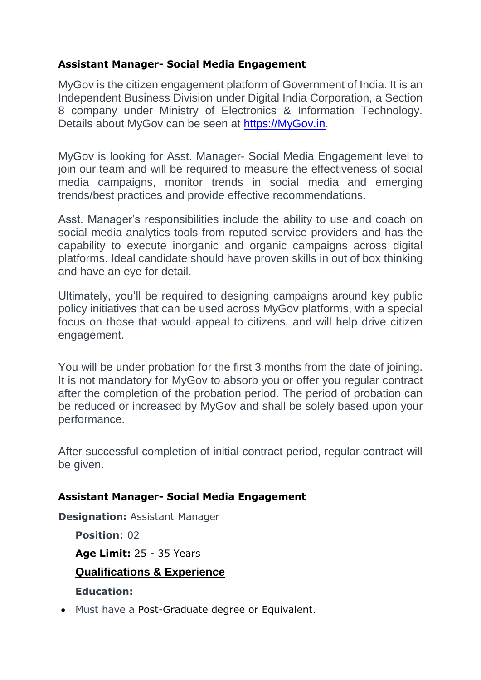## **Assistant Manager- Social Media Engagement**

MyGov is the citizen engagement platform of Government of India. It is an Independent Business Division under Digital India Corporation, a Section 8 company under Ministry of Electronics & Information Technology. Details about MyGov can be seen at [https://MyGov.in.](https://mygov.in/)

MyGov is looking for Asst. Manager- Social Media Engagement level to join our team and will be required to measure the effectiveness of social media campaigns, monitor trends in social media and emerging trends/best practices and provide effective recommendations.

Asst. Manager's responsibilities include the ability to use and coach on social media analytics tools from reputed service providers and has the capability to execute inorganic and organic campaigns across digital platforms. Ideal candidate should have proven skills in out of box thinking and have an eye for detail.

Ultimately, you'll be required to designing campaigns around key public policy initiatives that can be used across MyGov platforms, with a special focus on those that would appeal to citizens, and will help drive citizen engagement.

You will be under probation for the first 3 months from the date of joining. It is not mandatory for MyGov to absorb you or offer you regular contract after the completion of the probation period. The period of probation can be reduced or increased by MyGov and shall be solely based upon your performance.

After successful completion of initial contract period, regular contract will be given.

## **Assistant Manager- Social Media Engagement**

**Designation:** Assistant Manager

**Position**: 02

**Age Limit:** 25 - 35 Years

**Qualifications & Experience**

**Education:** 

• Must have a Post-Graduate degree or Equivalent.